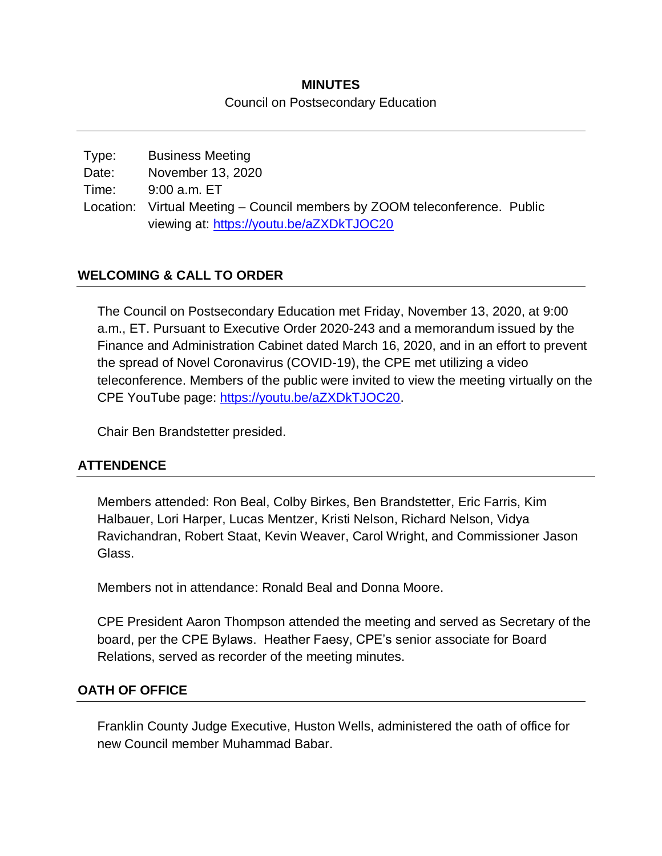## **MINUTES** Council on Postsecondary Education

| Type: | <b>Business Meeting</b>                                                    |  |
|-------|----------------------------------------------------------------------------|--|
| Date: | November 13, 2020                                                          |  |
| Time: | 9:00 a.m. ET                                                               |  |
|       | Location: Virtual Meeting – Council members by ZOOM teleconference. Public |  |
|       | viewing at: https://youtu.be/aZXDkTJOC20                                   |  |

### **WELCOMING & CALL TO ORDER**

The Council on Postsecondary Education met Friday, November 13, 2020, at 9:00 a.m., ET. Pursuant to Executive Order 2020-243 and a memorandum issued by the Finance and Administration Cabinet dated March 16, 2020, and in an effort to prevent the spread of Novel Coronavirus (COVID-19), the CPE met utilizing a video teleconference. Members of the public were invited to view the meeting virtually on the CPE YouTube page: [https://youtu.be/aZXDkTJOC20.](https://youtu.be/aZXDkTJOC20)

Chair Ben Brandstetter presided.

## **ATTENDENCE**

Members attended: Ron Beal, Colby Birkes, Ben Brandstetter, Eric Farris, Kim Halbauer, Lori Harper, Lucas Mentzer, Kristi Nelson, Richard Nelson, Vidya Ravichandran, Robert Staat, Kevin Weaver, Carol Wright, and Commissioner Jason Glass.

Members not in attendance: Ronald Beal and Donna Moore.

CPE President Aaron Thompson attended the meeting and served as Secretary of the board, per the CPE Bylaws. Heather Faesy, CPE's senior associate for Board Relations, served as recorder of the meeting minutes.

### **OATH OF OFFICE**

Franklin County Judge Executive, Huston Wells, administered the oath of office for new Council member Muhammad Babar.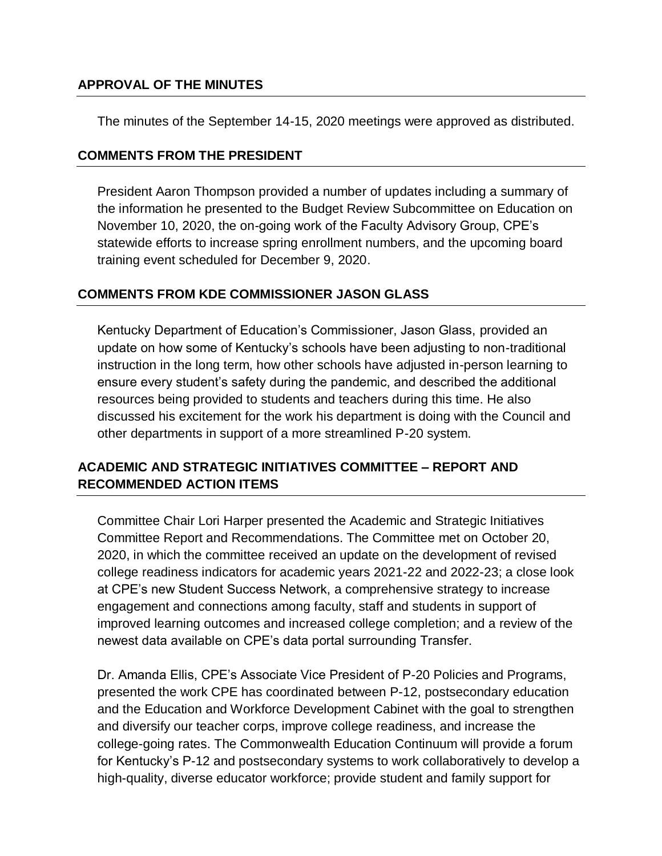### **APPROVAL OF THE MINUTES**

The minutes of the September 14-15, 2020 meetings were approved as distributed.

#### **COMMENTS FROM THE PRESIDENT**

President Aaron Thompson provided a number of updates including a summary of the information he presented to the Budget Review Subcommittee on Education on November 10, 2020, the on-going work of the Faculty Advisory Group, CPE's statewide efforts to increase spring enrollment numbers, and the upcoming board training event scheduled for December 9, 2020.

#### **COMMENTS FROM KDE COMMISSIONER JASON GLASS**

Kentucky Department of Education's Commissioner, Jason Glass, provided an update on how some of Kentucky's schools have been adjusting to non-traditional instruction in the long term, how other schools have adjusted in-person learning to ensure every student's safety during the pandemic, and described the additional resources being provided to students and teachers during this time. He also discussed his excitement for the work his department is doing with the Council and other departments in support of a more streamlined P-20 system.

### **ACADEMIC AND STRATEGIC INITIATIVES COMMITTEE – REPORT AND RECOMMENDED ACTION ITEMS**

Committee Chair Lori Harper presented the Academic and Strategic Initiatives Committee Report and Recommendations. The Committee met on October 20, 2020, in which the committee received an update on the development of revised college readiness indicators for academic years 2021-22 and 2022-23; a close look at CPE's new Student Success Network, a comprehensive strategy to increase engagement and connections among faculty, staff and students in support of improved learning outcomes and increased college completion; and a review of the newest data available on CPE's data portal surrounding Transfer.

Dr. Amanda Ellis, CPE's Associate Vice President of P-20 Policies and Programs, presented the work CPE has coordinated between P-12, postsecondary education and the Education and Workforce Development Cabinet with the goal to strengthen and diversify our teacher corps, improve college readiness, and increase the college-going rates. The Commonwealth Education Continuum will provide a forum for Kentucky's P-12 and postsecondary systems to work collaboratively to develop a high-quality, diverse educator workforce; provide student and family support for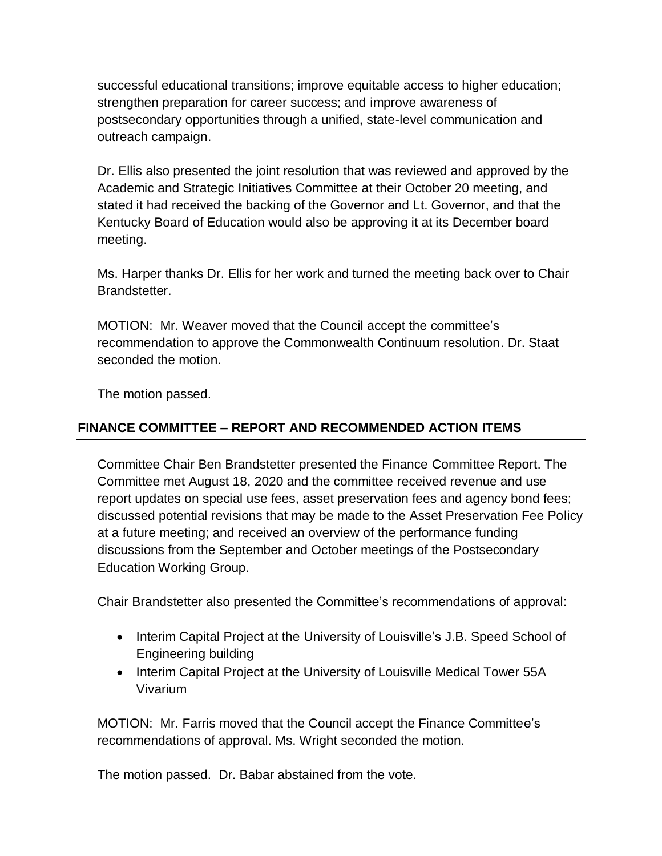successful educational transitions; improve equitable access to higher education; strengthen preparation for career success; and improve awareness of postsecondary opportunities through a unified, state-level communication and outreach campaign.

Dr. Ellis also presented the joint resolution that was reviewed and approved by the Academic and Strategic Initiatives Committee at their October 20 meeting, and stated it had received the backing of the Governor and Lt. Governor, and that the Kentucky Board of Education would also be approving it at its December board meeting.

Ms. Harper thanks Dr. Ellis for her work and turned the meeting back over to Chair Brandstetter.

MOTION: Mr. Weaver moved that the Council accept the committee's recommendation to approve the Commonwealth Continuum resolution. Dr. Staat seconded the motion.

The motion passed.

## **FINANCE COMMITTEE – REPORT AND RECOMMENDED ACTION ITEMS**

Committee Chair Ben Brandstetter presented the Finance Committee Report. The Committee met August 18, 2020 and the committee received revenue and use report updates on special use fees, asset preservation fees and agency bond fees; discussed potential revisions that may be made to the Asset Preservation Fee Policy at a future meeting; and received an overview of the performance funding discussions from the September and October meetings of the Postsecondary Education Working Group.

Chair Brandstetter also presented the Committee's recommendations of approval:

- Interim Capital Project at the University of Louisville's J.B. Speed School of Engineering building
- Interim Capital Project at the University of Louisville Medical Tower 55A Vivarium

MOTION: Mr. Farris moved that the Council accept the Finance Committee's recommendations of approval. Ms. Wright seconded the motion.

The motion passed. Dr. Babar abstained from the vote.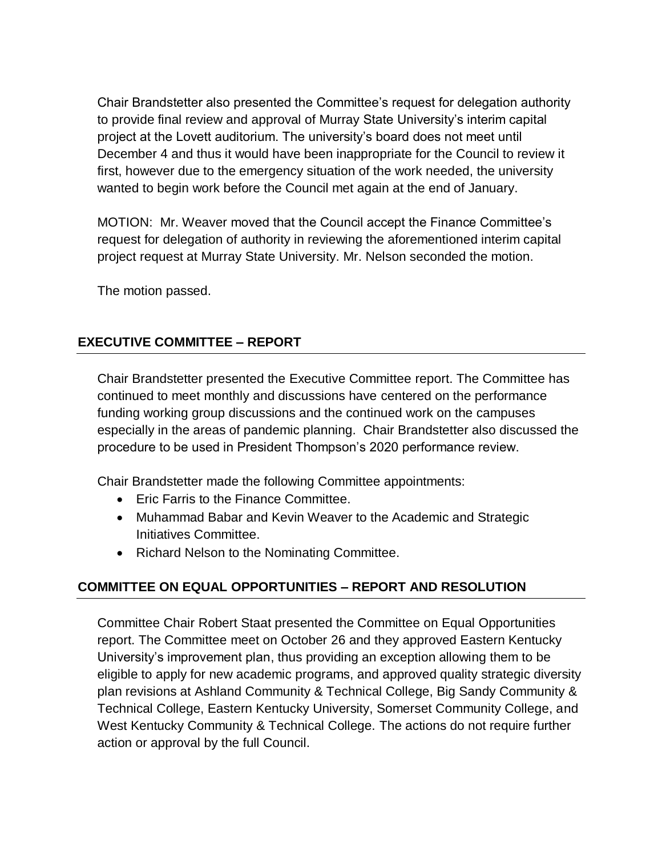Chair Brandstetter also presented the Committee's request for delegation authority to provide final review and approval of Murray State University's interim capital project at the Lovett auditorium. The university's board does not meet until December 4 and thus it would have been inappropriate for the Council to review it first, however due to the emergency situation of the work needed, the university wanted to begin work before the Council met again at the end of January.

MOTION: Mr. Weaver moved that the Council accept the Finance Committee's request for delegation of authority in reviewing the aforementioned interim capital project request at Murray State University. Mr. Nelson seconded the motion.

The motion passed.

### **EXECUTIVE COMMITTEE – REPORT**

Chair Brandstetter presented the Executive Committee report. The Committee has continued to meet monthly and discussions have centered on the performance funding working group discussions and the continued work on the campuses especially in the areas of pandemic planning. Chair Brandstetter also discussed the procedure to be used in President Thompson's 2020 performance review.

Chair Brandstetter made the following Committee appointments:

- **•** Eric Farris to the Finance Committee.
- Muhammad Babar and Kevin Weaver to the Academic and Strategic Initiatives Committee.
- Richard Nelson to the Nominating Committee.

## **COMMITTEE ON EQUAL OPPORTUNITIES – REPORT AND RESOLUTION**

Committee Chair Robert Staat presented the Committee on Equal Opportunities report. The Committee meet on October 26 and they approved Eastern Kentucky University's improvement plan, thus providing an exception allowing them to be eligible to apply for new academic programs, and approved quality strategic diversity plan revisions at Ashland Community & Technical College, Big Sandy Community & Technical College, Eastern Kentucky University, Somerset Community College, and West Kentucky Community & Technical College. The actions do not require further action or approval by the full Council.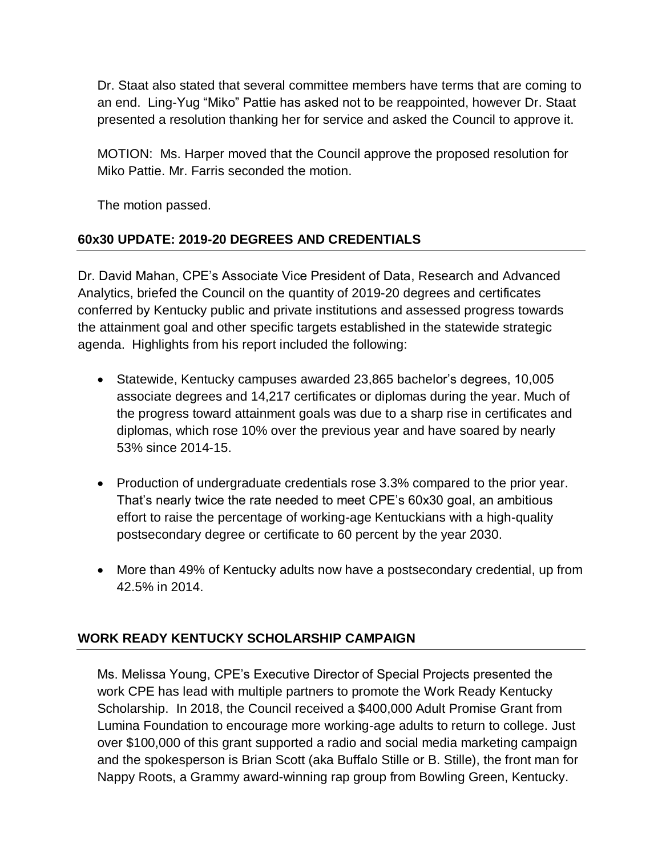Dr. Staat also stated that several committee members have terms that are coming to an end. Ling-Yug "Miko" Pattie has asked not to be reappointed, however Dr. Staat presented a resolution thanking her for service and asked the Council to approve it.

MOTION: Ms. Harper moved that the Council approve the proposed resolution for Miko Pattie. Mr. Farris seconded the motion.

The motion passed.

# **60x30 UPDATE: 2019-20 DEGREES AND CREDENTIALS**

Dr. David Mahan, CPE's Associate Vice President of Data, Research and Advanced Analytics, briefed the Council on the quantity of 2019-20 degrees and certificates conferred by Kentucky public and private institutions and assessed progress towards the attainment goal and other specific targets established in the statewide strategic agenda. Highlights from his report included the following:

- Statewide, Kentucky campuses awarded 23,865 bachelor's degrees, 10,005 associate degrees and 14,217 certificates or diplomas during the year. Much of the progress toward attainment goals was due to a sharp rise in certificates and diplomas, which rose 10% over the previous year and have soared by nearly 53% since 2014-15.
- Production of undergraduate credentials rose 3.3% compared to the prior year. That's nearly twice the rate needed to meet CPE's 60x30 goal, an ambitious effort to raise the percentage of working-age Kentuckians with a high-quality postsecondary degree or certificate to 60 percent by the year 2030.
- More than 49% of Kentucky adults now have a postsecondary credential, up from 42.5% in 2014.

## **WORK READY KENTUCKY SCHOLARSHIP CAMPAIGN**

Ms. Melissa Young, CPE's Executive Director of Special Projects presented the work CPE has lead with multiple partners to promote the Work Ready Kentucky Scholarship. In 2018, the Council received a \$400,000 Adult Promise Grant from Lumina Foundation to encourage more working-age adults to return to college. Just over \$100,000 of this grant supported a radio and social media marketing campaign and the spokesperson is Brian Scott (aka Buffalo Stille or B. Stille), the front man for Nappy Roots, a Grammy award-winning rap group from Bowling Green, Kentucky.